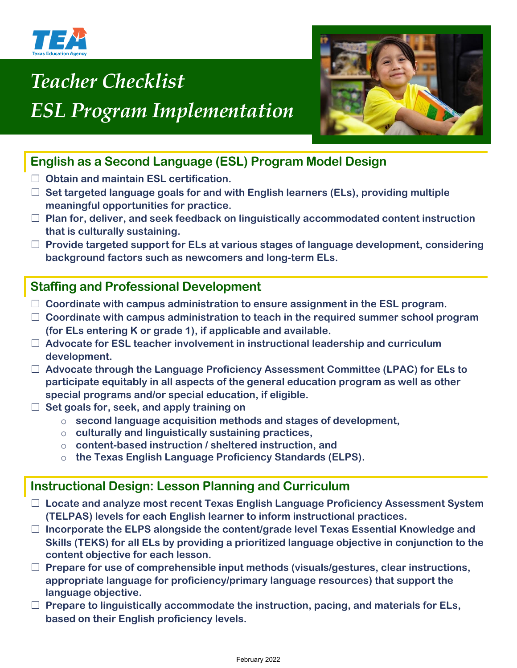

# *Teacher Checklist ESL Program Implementation*



# **English as a Second Language (ESL) Program Model Design**

- ☐ **Obtain and maintain ESL certification.**
- ☐ **Set targeted language goals for and with English learners (ELs), providing multiple meaningful opportunities for practice.**
- ☐ **Plan for, deliver, and seek feedback on linguistically accommodated content instruction that is culturally sustaining.**
- ☐ **Provide targeted support for ELs at various stages of language development, considering background factors such as newcomers and long-term ELs.**

## **Staffing and Professional Development**

- ☐ **Coordinate with campus administration to ensure assignment in the ESL program.**
- ☐ **Coordinate with campus administration to teach in the required summer school program (for ELs entering K or grade 1), if applicable and available.**
- ☐ **Advocate for ESL teacher involvement in instructional leadership and curriculum development.**
- ☐ **Advocate through the Language Proficiency Assessment Committee (LPAC) for ELs to participate equitably in all aspects of the general education program as well as other special programs and/or special education, if eligible.**
- ☐ **Set goals for, seek, and apply training on**
	- o **second language acquisition methods and stages of development,**
	- o **culturally and linguistically sustaining practices,**
	- o **content-based instruction / sheltered instruction, and**
	- o **the Texas English Language Proficiency Standards (ELPS).**

## **Instructional Design: Lesson Planning and Curriculum**

- ☐ **Locate and analyze most recent Texas English Language Proficiency Assessment System (TELPAS) levels for each English learner to inform instructional practices.**
- ☐ **Incorporate the ELPS alongside the content/grade level Texas Essential Knowledge and Skills (TEKS) for all ELs by providing a prioritized language objective in conjunction to the content objective for each lesson.**
- ☐ **Prepare for use of comprehensible input methods (visuals/gestures, clear instructions, appropriate language for proficiency/primary language resources) that support the language objective.**
- ☐ **Prepare to linguistically accommodate the instruction, pacing, and materials for ELs, based on their English proficiency levels.**